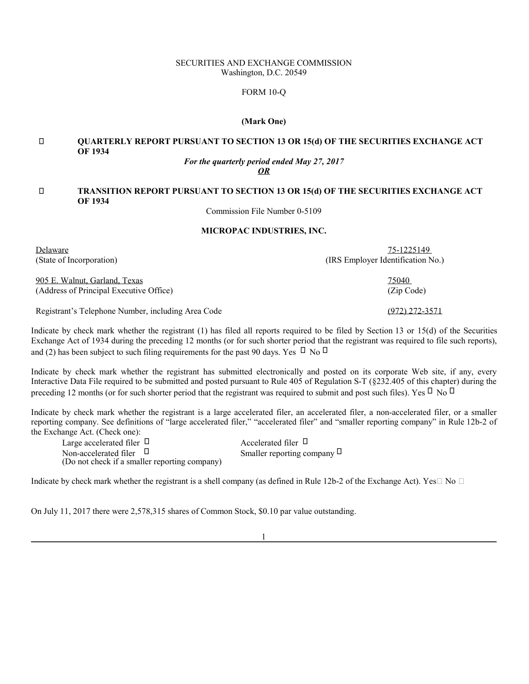### SECURITIES AND EXCHANGE COMMISSION Washington, D.C. 20549

## FORM 10-Q

### **(Mark One)**

# **QUARTERLY REPORT PURSUANT TO SECTION 13 OR 15(d) OF THE SECURITIES EXCHANGE ACT OF 1934**

# *For the quarterly period ended May 27, 2017*

*OR*

# **TRANSITION REPORT PURSUANT TO SECTION 13 OR 15(d) OF THE SECURITIES EXCHANGE ACT OF 1934**

Commission File Number 0-5109

### **MICROPAC INDUSTRIES, INC.**

| Delaware                                           | 75-1225149                        |
|----------------------------------------------------|-----------------------------------|
| (State of Incorporation)                           | (IRS Employer Identification No.) |
| 905 E. Walnut, Garland, Texas                      | 75040                             |
| (Address of Principal Executive Office)            | (Zip Code)                        |
| Registrant's Telephone Number, including Area Code | (972) 272-3571                    |

Indicate by check mark whether the registrant (1) has filed all reports required to be filed by Section 13 or 15(d) of the Securities Exchange Act of 1934 during the preceding 12 months (or for such shorter period that the registrant was required to file such reports), and  $(2)$  has been subject to such filing requirements for the past 90 days. Yes No

Indicate by check mark whether the registrant has submitted electronically and posted on its corporate Web site, if any, every Interactive Data File required to be submitted and posted pursuant to Rule 405 of Regulation S-T (§232.405 of this chapter) during the preceding 12 months (or for such shorter period that the registrant was required to submit and post such files). Yes No

Indicate by check mark whether the registrant is a large accelerated filer, an accelerated filer, a non-accelerated filer, or a smaller reporting company. See definitions of "large accelerated filer," "accelerated filer" and "smaller reporting company" in Rule 12b-2 of the Exchange Act. (Check one):

| Large accelerated filer                       | Accelerated filer         |
|-----------------------------------------------|---------------------------|
| Non-accelerated filer                         | Smaller reporting company |
| (Do not check if a smaller reporting company) |                           |

Indicate by check mark whether the registrant is a shell company (as defined in Rule 12b-2 of the Exchange Act). Yes No

On July 11, 2017 there were 2,578,315 shares of Common Stock, \$0.10 par value outstanding.

1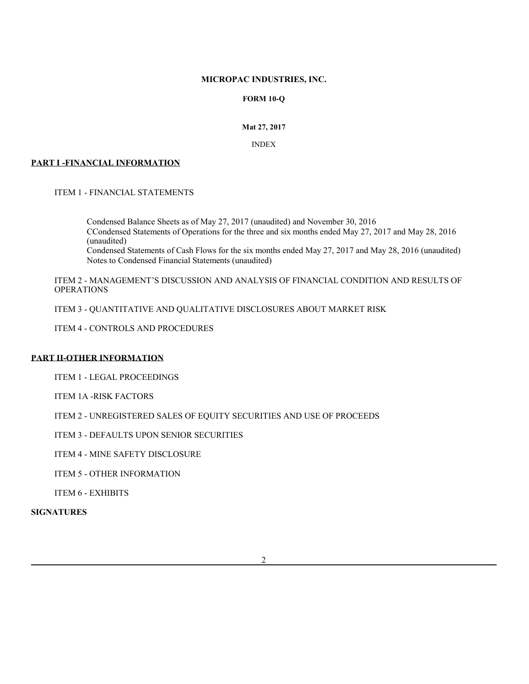## **MICROPAC INDUSTRIES, INC.**

# **FORM 10-Q**

# **Mat 27, 2017**

# INDEX

# **PART I -FINANCIAL INFORMATION**

ITEM 1 - FINANCIAL STATEMENTS

Condensed Balance Sheets as of May 27, 2017 (unaudited) and November 30, 2016 CCondensed Statements of Operations for the three and six months ended May 27, 2017 and May 28, 2016 (unaudited) Condensed Statements of Cash Flows for the six months ended May 27, 2017 and May 28, 2016 (unaudited) Notes to Condensed Financial Statements (unaudited)

ITEM 2 - MANAGEMENT'S DISCUSSION AND ANALYSIS OF FINANCIAL CONDITION AND RESULTS OF **OPERATIONS** 

ITEM 3 - QUANTITATIVE AND QUALITATIVE DISCLOSURES ABOUT MARKET RISK

ITEM 4 - CONTROLS AND PROCEDURES

# **PART II-OTHER INFORMATION**

ITEM 1 - LEGAL PROCEEDINGS

ITEM 1A -RISK FACTORS

ITEM 2 - UNREGISTERED SALES OF EQUITY SECURITIES AND USE OF PROCEEDS

ITEM 3 - DEFAULTS UPON SENIOR SECURITIES

ITEM 4 - MINE SAFETY DISCLOSURE

ITEM 5 - OTHER INFORMATION

ITEM 6 - EXHIBITS

**SIGNATURES**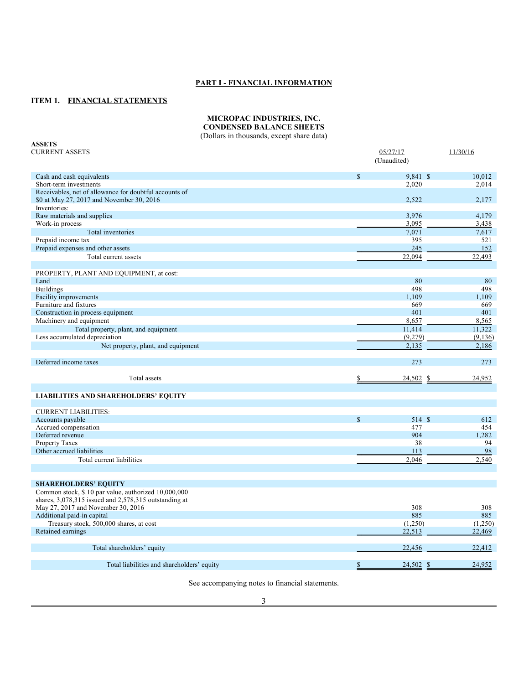# **PART I - FINANCIAL INFORMATION**

## **ITEM 1. FINANCIAL STATEMENTS**

### **MICROPAC INDUSTRIES, INC. CONDENSED BALANCE SHEETS**

(Dollars in thousands, except share data)

| <b>ASSETS</b>                                             |             |             |          |
|-----------------------------------------------------------|-------------|-------------|----------|
| <b>CURRENT ASSETS</b>                                     |             | 05/27/17    | 11/30/16 |
|                                                           |             | (Unaudited) |          |
| Cash and cash equivalents                                 | \$          | 9,841 \$    | 10,012   |
| Short-term investments                                    |             | 2,020       | 2,014    |
| Receivables, net of allowance for doubtful accounts of    |             |             |          |
| \$0 at May 27, 2017 and November 30, 2016                 |             | 2,522       | 2,177    |
| Inventories:                                              |             |             |          |
| Raw materials and supplies                                |             | 3,976       | 4,179    |
| Work-in process                                           |             | 3,095       | 3,438    |
| Total inventories                                         |             | 7,071       | 7,617    |
| Prepaid income tax                                        |             | 395         | 521      |
| Prepaid expenses and other assets                         |             | 245         | 152      |
| Total current assets                                      |             | 22,094      | 22,493   |
|                                                           |             |             |          |
| PROPERTY, PLANT AND EQUIPMENT, at cost:                   |             |             |          |
| Land                                                      |             | 80          | 80       |
| <b>Buildings</b>                                          |             | 498         | 498      |
| Facility improvements                                     |             | 1.109       | 1,109    |
| Furniture and fixtures                                    |             | 669         | 669      |
| Construction in process equipment                         |             | 401         | 401      |
| Machinery and equipment                                   |             | 8,657       | 8,565    |
| Total property, plant, and equipment                      |             | 11,414      | 11,322   |
| Less accumulated depreciation                             |             | (9,279)     | (9, 136) |
| Net property, plant, and equipment                        |             | 2,135       | 2,186    |
|                                                           |             |             |          |
| Deferred income taxes                                     |             | 273         | 273      |
| Total assets                                              | S.          | $24,502$ \$ | 24,952   |
|                                                           |             |             |          |
| <b>LIABILITIES AND SHAREHOLDERS' EQUITY</b>               |             |             |          |
| <b>CURRENT LIABILITIES:</b>                               |             |             |          |
| Accounts payable                                          | $\mathbf S$ | 514 \$      | 612      |
| Accrued compensation                                      |             | 477         | 454      |
| Deferred revenue                                          |             | 904         | 1,282    |
| <b>Property Taxes</b>                                     |             | 38          | 94       |
| Other accrued liabilities                                 |             | 113         | 98       |
| Total current liabilities                                 |             | 2,046       | 2,540    |
|                                                           |             |             |          |
| <b>SHAREHOLDERS' EQUITY</b>                               |             |             |          |
| Common stock, \$.10 par value, authorized 10,000,000      |             |             |          |
| shares, $3,078,315$ issued and $2,578,315$ outstanding at |             |             |          |
| May 27, 2017 and November 30, 2016                        |             | 308         | 308      |
| Additional paid-in capital                                |             | 885         | 885      |
| Treasury stock, 500,000 shares, at cost                   |             | (1,250)     | (1,250)  |
| Retained earnings                                         |             | 22,513      | 22,469   |
|                                                           |             |             |          |
| Total shareholders' equity                                |             | 22,456      | 22,412   |
|                                                           |             |             |          |
| Total liabilities and shareholders' equity                | \$          | $24,502$ \$ | 24,952   |

See accompanying notes to financial statements.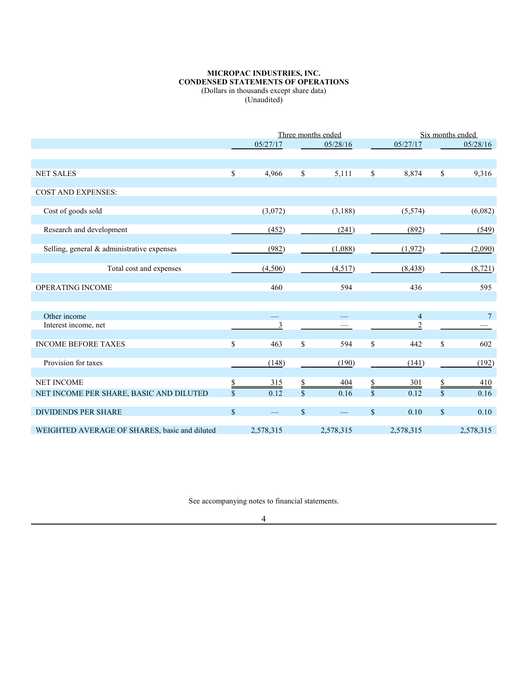### **MICROPAC INDUSTRIES, INC. CONDENSED STATEMENTS OF OPERATIONS** (Dollars in thousands except share data) (Unaudited)

|                                               |               | Three months ended      |                        |           | Six months ended   |                  |               |                 |
|-----------------------------------------------|---------------|-------------------------|------------------------|-----------|--------------------|------------------|---------------|-----------------|
|                                               |               | 05/27/17                |                        | 05/28/16  |                    | 05/27/17         |               | 05/28/16        |
|                                               |               |                         |                        |           |                    |                  |               |                 |
| <b>NET SALES</b>                              | \$            | 4,966                   | \$                     | 5,111     | \$                 | 8,874            | \$            | 9,316           |
| <b>COST AND EXPENSES:</b>                     |               |                         |                        |           |                    |                  |               |                 |
| Cost of goods sold                            |               | (3,072)                 |                        | (3,188)   |                    | (5,574)          |               | (6,082)         |
| Research and development                      |               | (452)                   |                        | (241)     |                    | (892)            |               | (549)           |
| Selling, general & administrative expenses    |               | (982)                   |                        | (1,088)   |                    | (1,972)          |               | (2,090)         |
| Total cost and expenses                       |               | (4,506)                 |                        | (4,517)   |                    | (8, 438)         |               | (8, 721)        |
| OPERATING INCOME                              |               | 460                     |                        | 594       |                    | 436              |               | 595             |
| Other income                                  |               |                         |                        |           |                    | $\overline{4}$   |               | $7\phantom{.0}$ |
| Interest income, net                          |               | $\overline{\mathbf{3}}$ |                        |           |                    | $\boldsymbol{2}$ |               |                 |
| <b>INCOME BEFORE TAXES</b>                    | \$            | 463                     | $\mathcal{S}$          | 594       | \$                 | 442              | \$            | 602             |
| Provision for taxes                           |               | (148)                   |                        | (190)     |                    | (141)            |               | (192)           |
| <b>NET INCOME</b>                             | <u>\$</u>     | 315                     |                        | 404       |                    | 301              | \$            | 410             |
| NET INCOME PER SHARE, BASIC AND DILUTED       | $\mathbf{\$}$ | 0.12                    | $\mathbf{\hat{S}}$     | 0.16      | $\mathbf{\hat{s}}$ | 0.12             | $\mathcal{S}$ | 0.16            |
| <b>DIVIDENDS PER SHARE</b>                    | \$            |                         | $\sqrt{\frac{2}{\pi}}$ |           | \$                 | 0.10             | \$            | 0.10            |
| WEIGHTED AVERAGE OF SHARES, basic and diluted |               | 2,578,315               |                        | 2,578,315 |                    | 2,578,315        |               | 2,578,315       |

See accompanying notes to financial statements.

## 4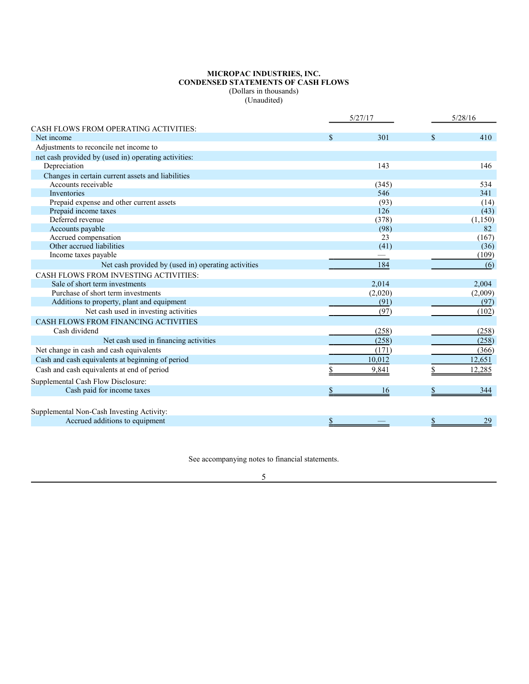#### **MICROPAC INDUSTRIES, INC. CONDENSED STATEMENTS OF CASH FLOWS** (Dollars in thousands) (Unaudited)

|                                                      |                           | 5/27/17 |     | 5/28/16  |  |
|------------------------------------------------------|---------------------------|---------|-----|----------|--|
| CASH FLOWS FROM OPERATING ACTIVITIES:                |                           |         |     |          |  |
| Net income                                           | $\mathcal{S}$             | 301     | \$. | 410      |  |
| Adjustments to reconcile net income to               |                           |         |     |          |  |
| net cash provided by (used in) operating activities: |                           |         |     |          |  |
| Depreciation                                         |                           | 143     |     | 146      |  |
| Changes in certain current assets and liabilities    |                           |         |     |          |  |
| Accounts receivable                                  |                           | (345)   |     | 534      |  |
| Inventories                                          |                           | 546     |     | 341      |  |
| Prepaid expense and other current assets             |                           | (93)    |     | (14)     |  |
| Prepaid income taxes                                 |                           | 126     |     | (43)     |  |
| Deferred revenue                                     |                           | (378)   |     | (1, 150) |  |
| Accounts payable                                     |                           | (98)    |     | 82       |  |
| Accrued compensation                                 |                           | 23      |     | (167)    |  |
| Other accrued liabilities                            |                           | (41)    |     | (36)     |  |
| Income taxes payable                                 |                           |         |     | (109)    |  |
| Net cash provided by (used in) operating activities  |                           | 184     |     | (6)      |  |
| CASH FLOWS FROM INVESTING ACTIVITIES:                |                           |         |     |          |  |
| Sale of short term investments                       |                           | 2,014   |     | 2,004    |  |
| Purchase of short term investments                   |                           | (2,020) |     | (2,009)  |  |
| Additions to property, plant and equipment           |                           | (91)    |     | (97)     |  |
| Net cash used in investing activities                |                           | (97)    |     | (102)    |  |
| CASH FLOWS FROM FINANCING ACTIVITIES                 |                           |         |     |          |  |
| Cash dividend                                        |                           | (258)   |     | (258)    |  |
| Net cash used in financing activities                |                           | (258)   |     | (258)    |  |
| Net change in cash and cash equivalents              |                           | (171)   |     | (366)    |  |
| Cash and cash equivalents at beginning of period     |                           | 10,012  |     | 12,651   |  |
| Cash and cash equivalents at end of period           |                           | 9,841   |     | 12,285   |  |
| Supplemental Cash Flow Disclosure:                   |                           |         |     |          |  |
| Cash paid for income taxes                           | \$                        | 16      |     | 344      |  |
|                                                      |                           |         |     |          |  |
| Supplemental Non-Cash Investing Activity:            |                           |         |     |          |  |
| Accrued additions to equipment                       | $\boldsymbol{\mathsf{S}}$ |         | \$  | 29       |  |

See accompanying notes to financial statements.

5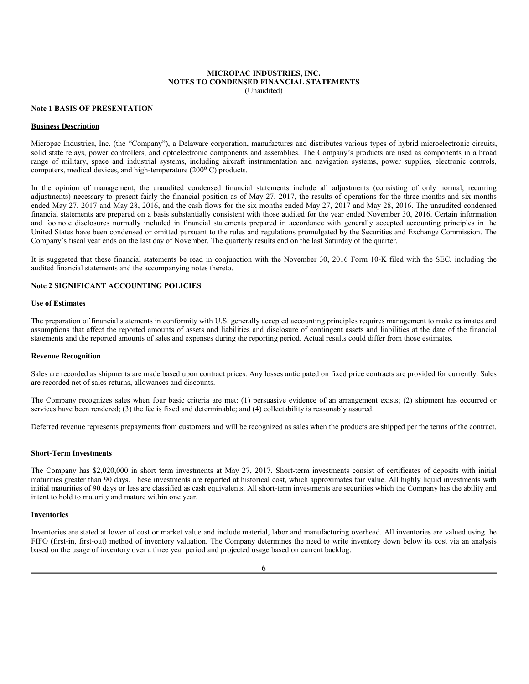#### **MICROPAC INDUSTRIES, INC. NOTES TO CONDENSED FINANCIAL STATEMENTS** (Unaudited)

**Note 1 BASIS OF PRESENTATION**

#### **Business Description**

Micropac Industries, Inc. (the "Company"), a Delaware corporation, manufactures and distributes various types of hybrid microelectronic circuits, solid state relays, power controllers, and optoelectronic components and assemblies. The Company's products are used as components in a broad range of military, space and industrial systems, including aircraft instrumentation and navigation systems, power supplies, electronic controls, computers, medical devices, and high-temperature (200°C) products.

In the opinion of management, the unaudited condensed financial statements include all adjustments (consisting of only normal, recurring adjustments) necessary to present fairly the financial position as of May 27, 2017, the results of operations for the three months and six months ended May 27, 2017 and May 28, 2016, and the cash flows for the six months ended May 27, 2017 and May 28, 2016. The unaudited condensed financial statements are prepared on a basis substantially consistent with those audited for the year ended November 30, 2016. Certain information and footnote disclosures normally included in financial statements prepared in accordance with generally accepted accounting principles in the United States have been condensed or omitted pursuant to the rules and regulations promulgated by the Securities and Exchange Commission. The Company's fiscal year ends on the last day of November. The quarterly results end on the last Saturday of the quarter.

It is suggested that these financial statements be read in conjunction with the November 30, 2016 Form 10-K filed with the SEC, including the audited financial statements and the accompanying notes thereto.

## **Note 2 SIGNIFICANT ACCOUNTING POLICIES**

#### **Use of Estimates**

The preparation of financial statements in conformity with U.S. generally accepted accounting principles requires management to make estimates and assumptions that affect the reported amounts of assets and liabilities and disclosure of contingent assets and liabilities at the date of the financial statements and the reported amounts of sales and expenses during the reporting period. Actual results could differ from those estimates.

#### **Revenue Recognition**

Sales are recorded as shipments are made based upon contract prices. Any losses anticipated on fixed price contracts are provided for currently. Sales are recorded net of sales returns, allowances and discounts.

The Company recognizes sales when four basic criteria are met: (1) persuasive evidence of an arrangement exists; (2) shipment has occurred or services have been rendered; (3) the fee is fixed and determinable; and (4) collectability is reasonably assured.

Deferred revenue represents prepayments from customers and will be recognized as sales when the products are shipped per the terms of the contract.

#### **Short-Term Investments**

The Company has \$2,020,000 in short term investments at May 27, 2017. Short-term investments consist of certificates of deposits with initial maturities greater than 90 days. These investments are reported at historical cost, which approximates fair value. All highly liquid investments with initial maturities of 90 days or less are classified as cash equivalents. All short-term investments are securities which the Company has the ability and intent to hold to maturity and mature within one year.

#### **Inventories**

Inventories are stated at lower of cost or market value and include material, labor and manufacturing overhead. All inventories are valued using the FIFO (first-in, first-out) method of inventory valuation. The Company determines the need to write inventory down below its cost via an analysis based on the usage of inventory over a three year period and projected usage based on current backlog.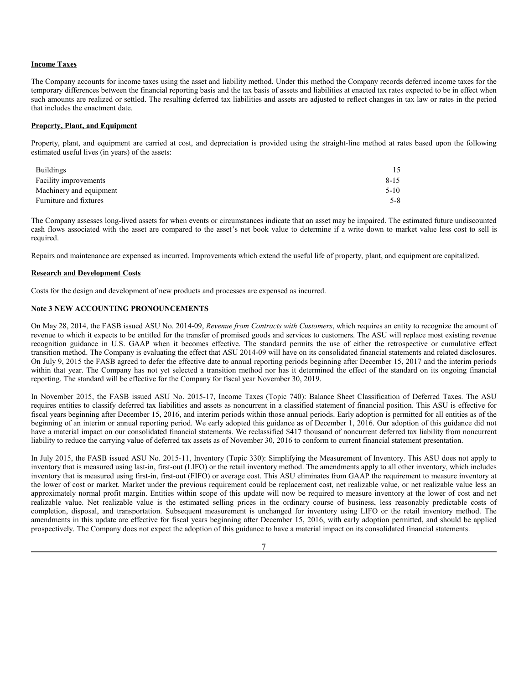#### **Income Taxes**

The Company accounts for income taxes using the asset and liability method. Under this method the Company records deferred income taxes for the temporary differences between the financial reporting basis and the tax basis of assets and liabilities at enacted tax rates expected to be in effect when such amounts are realized or settled. The resulting deferred tax liabilities and assets are adjusted to reflect changes in tax law or rates in the period that includes the enactment date.

#### **Property, Plant, and Equipment**

Property, plant, and equipment are carried at cost, and depreciation is provided using the straight-line method at rates based upon the following estimated useful lives (in years) of the assets:

| <b>Buildings</b>        |          |
|-------------------------|----------|
| Facility improvements   | $8 - 15$ |
| Machinery and equipment | $5 - 10$ |
| Furniture and fixtures  | 5-8      |

The Company assesses long-lived assets for when events or circumstances indicate that an asset may be impaired. The estimated future undiscounted cash flows associated with the asset are compared to the asset's net book value to determine if a write down to market value less cost to sell is required.

Repairs and maintenance are expensed as incurred. Improvements which extend the useful life of property, plant, and equipment are capitalized.

#### **Research and Development Costs**

Costs for the design and development of new products and processes are expensed as incurred.

## **Note 3 NEW ACCOUNTING PRONOUNCEMENTS**

On May 28, 2014, the FASB issued ASU No. 2014-09, *Revenue from Contracts with Customers*, which requires an entity to recognize the amount of revenue to which it expects to be entitled for the transfer of promised goods and services to customers. The ASU will replace most existing revenue recognition guidance in U.S. GAAP when it becomes effective. The standard permits the use of either the retrospective or cumulative effect transition method. The Company is evaluating the effect that ASU 2014-09 will have on its consolidated financial statements and related disclosures. On July 9, 2015 the FASB agreed to defer the effective date to annual reporting periods beginning after December 15, 2017 and the interim periods within that year. The Company has not yet selected a transition method nor has it determined the effect of the standard on its ongoing financial reporting. The standard will be effective for the Company for fiscal year November 30, 2019.

In November 2015, the FASB issued ASU No. 2015-17, Income Taxes (Topic 740): Balance Sheet Classification of Deferred Taxes. The ASU requires entities to classify deferred tax liabilities and assets as noncurrent in a classified statement of financial position. This ASU is effective for fiscal years beginning after December 15, 2016, and interim periods within those annual periods. Early adoption is permitted for all entities as of the beginning of an interim or annual reporting period. We early adopted this guidance as of December 1, 2016. Our adoption of this guidance did not have a material impact on our consolidated financial statements. We reclassified \$417 thousand of noncurrent deferred tax liability from noncurrent liability to reduce the carrying value of deferred tax assets as of November 30, 2016 to conform to current financial statement presentation.

In July 2015, the FASB issued ASU No. 2015-11, Inventory (Topic 330): Simplifying the Measurement of Inventory. This ASU does not apply to inventory that is measured using last-in, first-out (LIFO) or the retail inventory method. The amendments apply to all other inventory, which includes inventory that is measured using first-in, first-out (FIFO) or average cost. This ASU eliminates from GAAP the requirement to measure inventory at the lower of cost or market. Market under the previous requirement could be replacement cost, net realizable value, or net realizable value less an approximately normal profit margin. Entities within scope of this update will now be required to measure inventory at the lower of cost and net realizable value. Net realizable value is the estimated selling prices in the ordinary course of business, less reasonably predictable costs of completion, disposal, and transportation. Subsequent measurement is unchanged for inventory using LIFO or the retail inventory method. The amendments in this update are effective for fiscal years beginning after December 15, 2016, with early adoption permitted, and should be applied prospectively. The Company does not expect the adoption of this guidance to have a material impact on its consolidated financial statements.

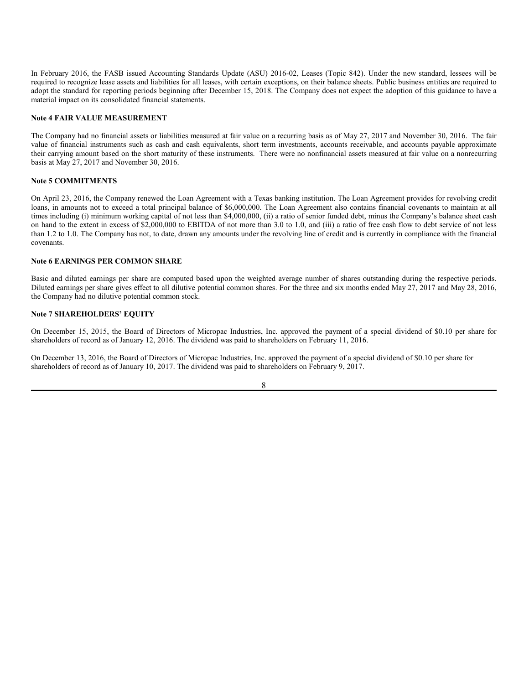In February 2016, the FASB issued Accounting Standards Update (ASU) 2016-02, Leases (Topic 842). Under the new standard, lessees will be required to recognize lease assets and liabilities for all leases, with certain exceptions, on their balance sheets. Public business entities are required to adopt the standard for reporting periods beginning after December 15, 2018. The Company does not expect the adoption of this guidance to have a material impact on its consolidated financial statements.

#### **Note 4 FAIR VALUE MEASUREMENT**

The Company had no financial assets or liabilities measured at fair value on a recurring basis as of May 27, 2017 and November 30, 2016. The fair value of financial instruments such as cash and cash equivalents, short term investments, accounts receivable, and accounts payable approximate their carrying amount based on the short maturity of these instruments. There were no nonfinancial assets measured at fair value on a nonrecurring basis at May 27, 2017 and November 30, 2016.

## **Note 5 COMMITMENTS**

On April 23, 2016, the Company renewed the Loan Agreement with a Texas banking institution. The Loan Agreement provides for revolving credit loans, in amounts not to exceed a total principal balance of \$6,000,000. The Loan Agreement also contains financial covenants to maintain at all times including (i) minimum working capital of not less than \$4,000,000, (ii) a ratio of senior funded debt, minus the Company's balance sheet cash on hand to the extent in excess of \$2,000,000 to EBITDA of not more than 3.0 to 1.0, and (iii) a ratio of free cash flow to debt service of not less than 1.2 to 1.0. The Company has not, to date, drawn any amounts under the revolving line of credit and is currently in compliance with the financial covenants.

### **Note 6 EARNINGS PER COMMON SHARE**

Basic and diluted earnings per share are computed based upon the weighted average number of shares outstanding during the respective periods. Diluted earnings per share gives effect to all dilutive potential common shares. For the three and six months ended May 27, 2017 and May 28, 2016, the Company had no dilutive potential common stock.

#### **Note 7 SHAREHOLDERS' EQUITY**

On December 15, 2015, the Board of Directors of Micropac Industries, Inc. approved the payment of a special dividend of \$0.10 per share for shareholders of record as of January 12, 2016. The dividend was paid to shareholders on February 11, 2016.

On December 13, 2016, the Board of Directors of Micropac Industries, Inc. approved the payment of a special dividend of \$0.10 per share for shareholders of record as of January 10, 2017. The dividend was paid to shareholders on February 9, 2017.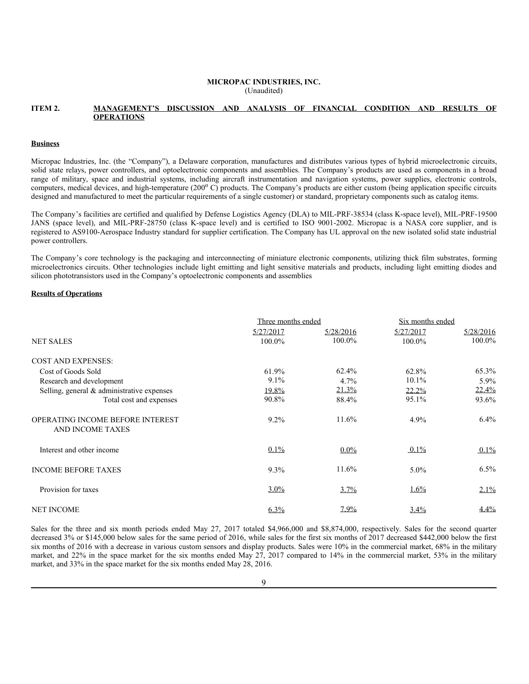#### **MICROPAC INDUSTRIES, INC.** (Unaudited)

### **ITEM 2. MANAGEMENT'S DISCUSSION AND ANALYSIS OF FINANCIAL CONDITION AND RESULTS OF OPERATIONS**

#### **Business**

Micropac Industries, Inc. (the "Company"), a Delaware corporation, manufactures and distributes various types of hybrid microelectronic circuits, solid state relays, power controllers, and optoelectronic components and assemblies. The Company's products are used as components in a broad range of military, space and industrial systems, including aircraft instrumentation and navigation systems, power supplies, electronic controls, computers, medical devices, and high-temperature (200°C) products. The Company's products are either custom (being application specific circuits designed and manufactured to meet the particular requirements of a single customer) or standard, proprietary components such as catalog items.

The Company's facilities are certified and qualified by Defense Logistics Agency (DLA) to MIL-PRF-38534 (class K-space level), MIL-PRF-19500 JANS (space level), and MIL-PRF-28750 (class K-space level) and is certified to ISO 9001-2002. Micropac is a NASA core supplier, and is registered to AS9100-Aerospace Industry standard for supplier certification. The Company has UL approval on the new isolated solid state industrial power controllers.

The Company's core technology is the packaging and interconnecting of miniature electronic components, utilizing thick film substrates, forming microelectronics circuits. Other technologies include light emitting and light sensitive materials and products, including light emitting diodes and silicon phototransistors used in the Company's optoelectronic components and assemblies

#### **Results of Operations**

|                                                      | Three months ended |           | Six months ended |           |  |
|------------------------------------------------------|--------------------|-----------|------------------|-----------|--|
|                                                      | 5/27/2017          | 5/28/2016 | 5/27/2017        | 5/28/2016 |  |
| <b>NET SALES</b>                                     | 100.0%             | 100.0%    | 100.0%           | 100.0%    |  |
| <b>COST AND EXPENSES:</b>                            |                    |           |                  |           |  |
| Cost of Goods Sold                                   | 61.9%              | 62.4%     | 62.8%            | 65.3%     |  |
| Research and development                             | 9.1%               | 4.7%      | 10.1%            | 5.9%      |  |
| Selling, general & administrative expenses           | 19.8%              | 21.3%     | $22.2\%$         | $22.4\%$  |  |
| Total cost and expenses                              | 90.8%              | 88.4%     | 95.1%            | 93.6%     |  |
| OPERATING INCOME BEFORE INTEREST<br>AND INCOME TAXES | $9.2\%$            | 11.6%     | 4.9%             | 6.4%      |  |
| Interest and other income                            | $0.1\%$            | $0.0\%$   | $0.1\%$          | 0.1%      |  |
| <b>INCOME BEFORE TAXES</b>                           | $9.3\%$            | 11.6%     | $5.0\%$          | $6.5\%$   |  |
| Provision for taxes                                  | $3.0\%$            | $3.7\%$   | $1.6\%$          | $2.1\%$   |  |
| <b>NET INCOME</b>                                    | $6.3\%$            | $7.9\%$   | $3.4\%$          | 4.4%      |  |

Sales for the three and six month periods ended May 27, 2017 totaled \$4,966,000 and \$8,874,000, respectively. Sales for the second quarter decreased 3% or \$145,000 below sales for the same period of 2016, while sales for the first six months of 2017 decreased \$442,000 below the first six months of 2016 with a decrease in various custom sensors and display products. Sales were 10% in the commercial market, 68% in the military market, and 22% in the space market for the six months ended May  $27$ , 2017 compared to 14% in the commercial market, 53% in the military market, and 33% in the space market for the six months ended May 28, 2016.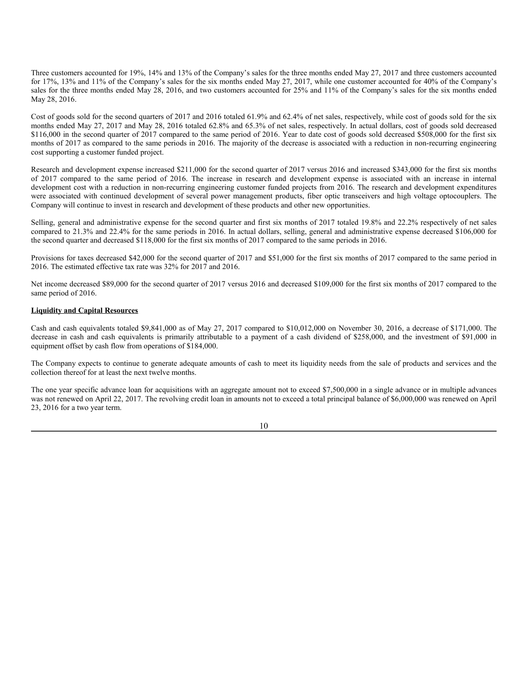Three customers accounted for 19%, 14% and 13% of the Company's sales for the three months ended May 27, 2017 and three customers accounted for 17%, 13% and 11% of the Company's sales for the six months ended May 27, 2017, while one customer accounted for 40% of the Company's sales for the three months ended May 28, 2016, and two customers accounted for 25% and 11% of the Company's sales for the six months ended May 28, 2016.

Cost of goods sold for the second quarters of 2017 and 2016 totaled 61.9% and 62.4% of net sales, respectively, while cost of goods sold for the six months ended May 27, 2017 and May 28, 2016 totaled 62.8% and 65.3% of net sales, respectively. In actual dollars, cost of goods sold decreased \$116,000 in the second quarter of 2017 compared to the same period of 2016. Year to date cost of goods sold decreased \$508,000 for the first six months of 2017 as compared to the same periods in 2016. The majority of the decrease is associated with a reduction in non-recurring engineering cost supporting a customer funded project.

Research and development expense increased \$211,000 for the second quarter of 2017 versus 2016 and increased \$343,000 for the first six months of 2017 compared to the same period of 2016. The increase in research and development expense is associated with an increase in internal development cost with a reduction in non-recurring engineering customer funded projects from 2016. The research and development expenditures were associated with continued development of several power management products, fiber optic transceivers and high voltage optocouplers. The Company will continue to invest in research and development of these products and other new opportunities.

Selling, general and administrative expense for the second quarter and first six months of 2017 totaled 19.8% and 22.2% respectively of net sales compared to 21.3% and 22.4% for the same periods in 2016. In actual dollars, selling, general and administrative expense decreased \$106,000 for the second quarter and decreased \$118,000 for the first six months of 2017 compared to the same periods in 2016.

Provisions for taxes decreased \$42,000 for the second quarter of 2017 and \$51,000 for the first six months of 2017 compared to the same period in 2016. The estimated effective tax rate was 32% for 2017 and 2016.

Net income decreased \$89,000 for the second quarter of 2017 versus 2016 and decreased \$109,000 for the first six months of 2017 compared to the same period of 2016.

#### **Liquidity and Capital Resources**

Cash and cash equivalents totaled \$9,841,000 as of May 27, 2017 compared to \$10,012,000 on November 30, 2016, a decrease of \$171,000. The decrease in cash and cash equivalents is primarily attributable to a payment of a cash dividend of \$258,000, and the investment of \$91,000 in equipment offset by cash flow from operations of \$184,000.

The Company expects to continue to generate adequate amounts of cash to meet its liquidity needs from the sale of products and services and the collection thereof for at least the next twelve months.

The one year specific advance loan for acquisitions with an aggregate amount not to exceed \$7,500,000 in a single advance or in multiple advances was not renewed on April 22, 2017. The revolving credit loan in amounts not to exceed a total principal balance of \$6,000,000 was renewed on April 23, 2016 for a two year term.

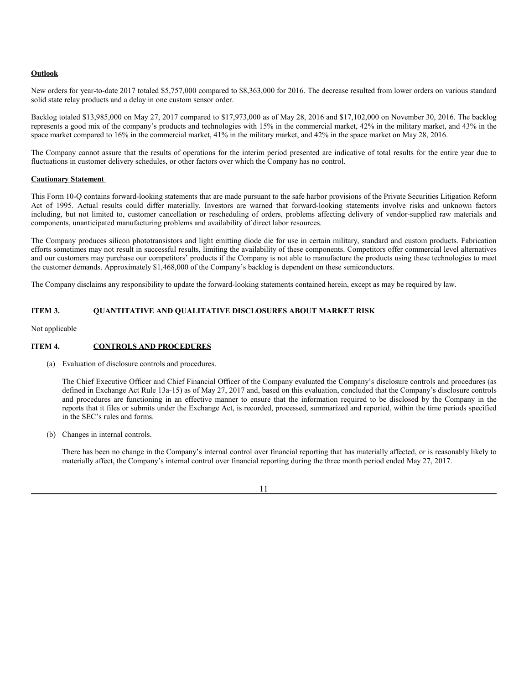### **Outlook**

New orders for year-to-date 2017 totaled \$5,757,000 compared to \$8,363,000 for 2016. The decrease resulted from lower orders on various standard solid state relay products and a delay in one custom sensor order.

Backlog totaled \$13,985,000 on May 27, 2017 compared to \$17,973,000 as of May 28, 2016 and \$17,102,000 on November 30, 2016. The backlog represents a good mix of the company's products and technologies with 15% in the commercial market, 42% in the military market, and 43% in the space market compared to 16% in the commercial market, 41% in the military market, and 42% in the space market on May 28, 2016.

The Company cannot assure that the results of operations for the interim period presented are indicative of total results for the entire year due to fluctuations in customer delivery schedules, or other factors over which the Company has no control.

#### **Cautionary Statement**

This Form 10-Q contains forward-looking statements that are made pursuant to the safe harbor provisions of the Private Securities Litigation Reform Act of 1995. Actual results could differ materially. Investors are warned that forward-looking statements involve risks and unknown factors including, but not limited to, customer cancellation or rescheduling of orders, problems affecting delivery of vendor-supplied raw materials and components, unanticipated manufacturing problems and availability of direct labor resources.

The Company produces silicon phototransistors and light emitting diode die for use in certain military, standard and custom products. Fabrication efforts sometimes may not result in successful results, limiting the availability of these components. Competitors offer commercial level alternatives and our customers may purchase our competitors' products if the Company is not able to manufacture the products using these technologies to meet the customer demands. Approximately \$1,468,000 of the Company's backlog is dependent on these semiconductors.

The Company disclaims any responsibility to update the forward-looking statements contained herein, except as may be required by law.

### **ITEM 3. QUANTITATIVE AND QUALITATIVE DISCLOSURES ABOUT MARKET RISK**

Not applicable

### **ITEM 4. CONTROLS AND PROCEDURES**

(a) Evaluation of disclosure controls and procedures.

The Chief Executive Officer and Chief Financial Officer of the Company evaluated the Company's disclosure controls and procedures (as defined in Exchange Act Rule 13a-15) as of May 27, 2017 and, based on this evaluation, concluded that the Company's disclosure controls and procedures are functioning in an effective manner to ensure that the information required to be disclosed by the Company in the reports that it files or submits under the Exchange Act, is recorded, processed, summarized and reported, within the time periods specified in the SEC's rules and forms.

(b) Changes in internal controls.

There has been no change in the Company's internal control over financial reporting that has materially affected, or is reasonably likely to materially affect, the Company's internal control over financial reporting during the three month period ended May 27, 2017.